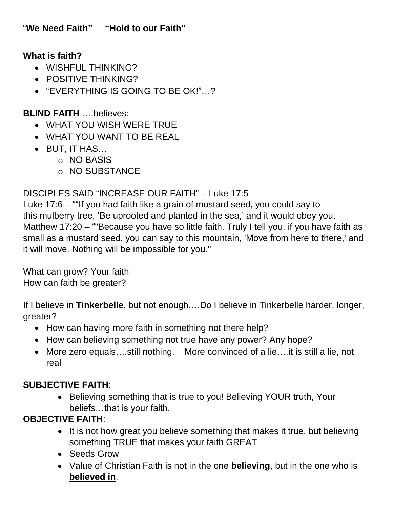## **What is faith?**

- WISHFUL THINKING?
- POSITIVE THINKING?
- "EVERYTHING IS GOING TO BE OK!"…?

### **BLIND FAITH** ….believes:

- WHAT YOU WISH WERE TRUE
- WHAT YOU WANT TO BE REAL
- BUT, IT HAS…
	- o NO BASIS
	- o NO SUBSTANCE

### DISCIPLES SAID "INCREASE OUR FAITH" – Luke 17:5

Luke 17:6 – ""If you had faith like a grain of mustard seed, you could say to this mulberry tree, 'Be uprooted and planted in the sea,' and it would obey you. Matthew 17:20 – ""Because you have so little faith. Truly I tell you, if you have faith as small as a mustard seed, you can say to this mountain, 'Move from here to there,' and it will move. Nothing will be impossible for you."

What can grow? Your faith How can faith be greater?

If I believe in **Tinkerbelle**, but not enough….Do I believe in Tinkerbelle harder, longer, greater?

- How can having more faith in something not there help?
- How can believing something not true have any power? Any hope?
- More zero equals….still nothing. More convinced of a lie….it is still a lie, not real

# **SUBJECTIVE FAITH**:

• Believing something that is true to you! Believing YOUR truth, Your beliefs…that is your faith.

# **OBJECTIVE FAITH**:

- It is not how great you believe something that makes it true, but believing something TRUE that makes your faith GREAT
- Seeds Grow
- Value of Christian Faith is not in the one **believing**, but in the one who is **believed in**.